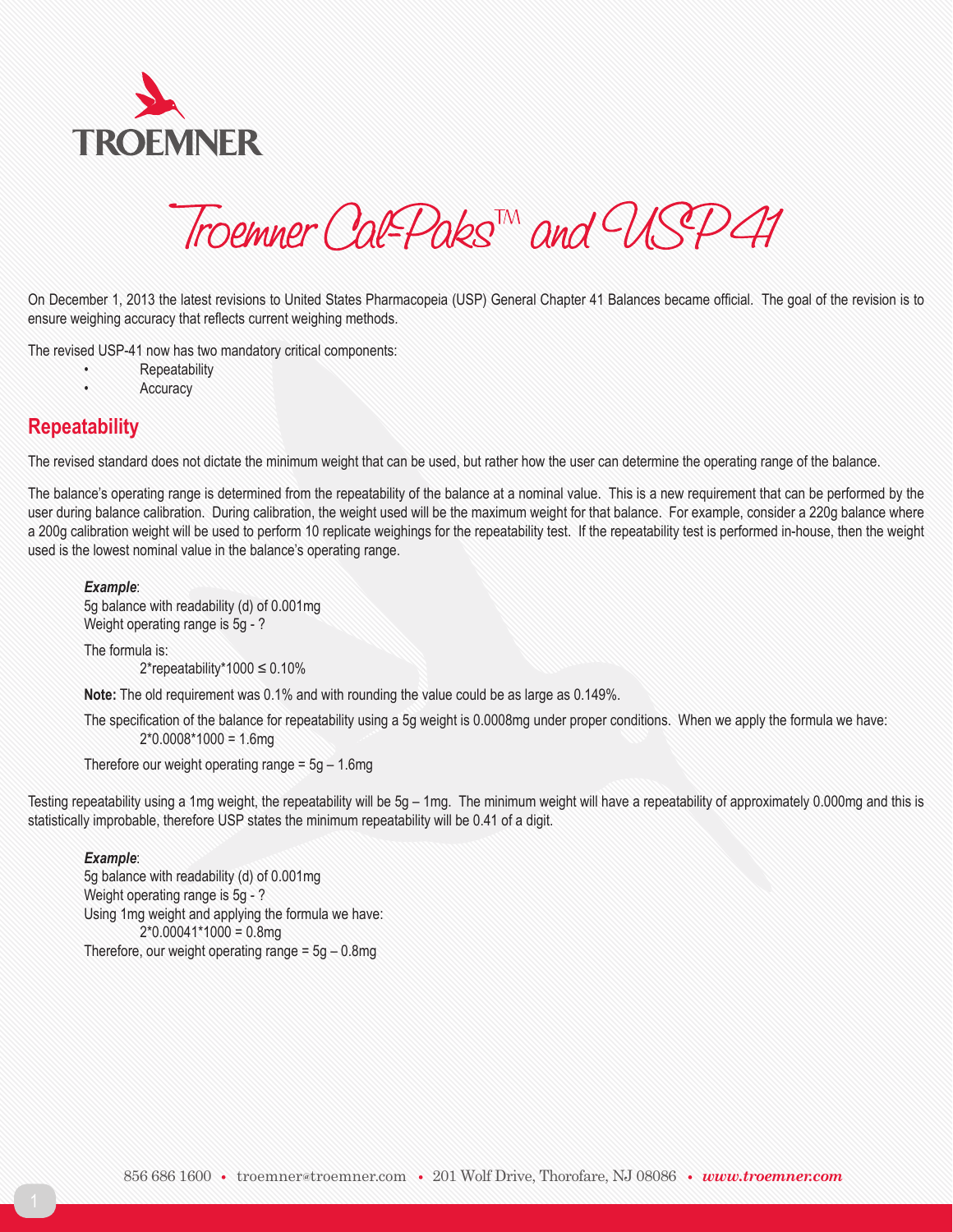

Troemner Cal-Paks<sup>TM</sup> and USP41

On December 1, 2013 the latest revisions to United States Pharmacopeia (USP) General Chapter 41 Balances became official. The goal of the revision is to ensure weighing accuracy that reflects current weighing methods.

The revised USP-41 now has two mandatory critical components:

- **Repeatability**
- **Accuracy**

# **Repeatability**

The revised standard does not dictate the minimum weight that can be used, but rather how the user can determine the operating range of the balance.

The balance's operating range is determined from the repeatability of the balance at a nominal value. This is a new requirement that can be performed by the user during balance calibration. During calibration, the weight used will be the maximum weight for that balance. For example, consider a 220g balance where a 200g calibration weight will be used to perform 10 replicate weighings for the repeatability test. If the repeatability test is performed in-house, then the weight used is the lowest nominal value in the balance's operating range.

#### *Example*:

5g balance with readability (d) of 0.001mg Weight operating range is 5g - ?

The formula is:  $2*$ repeatability $*1000 \le 0.10\%$ 

**Note:** The old requirement was 0.1% and with rounding the value could be as large as 0.149%.

The specification of the balance for repeatability using a 5g weight is 0.0008mg under proper conditions. When we apply the formula we have:  $2*0.0008*1000 = 1.6$ mg

Therefore our weight operating range  $= 5g - 1.6mg$ 

Testing repeatability using a 1mg weight, the repeatability will be 5g – 1mg. The minimum weight will have a repeatability of approximately 0.000mg and this is statistically improbable, therefore USP states the minimum repeatability will be 0.41 of a digit.

### *Example*:

5g balance with readability (d) of 0.001mg Weight operating range is 5g - ? Using 1mg weight and applying the formula we have:  $2*0.00041*1000 = 0.8mg$ Therefore, our weight operating range  $= 5g - 0.8mg$